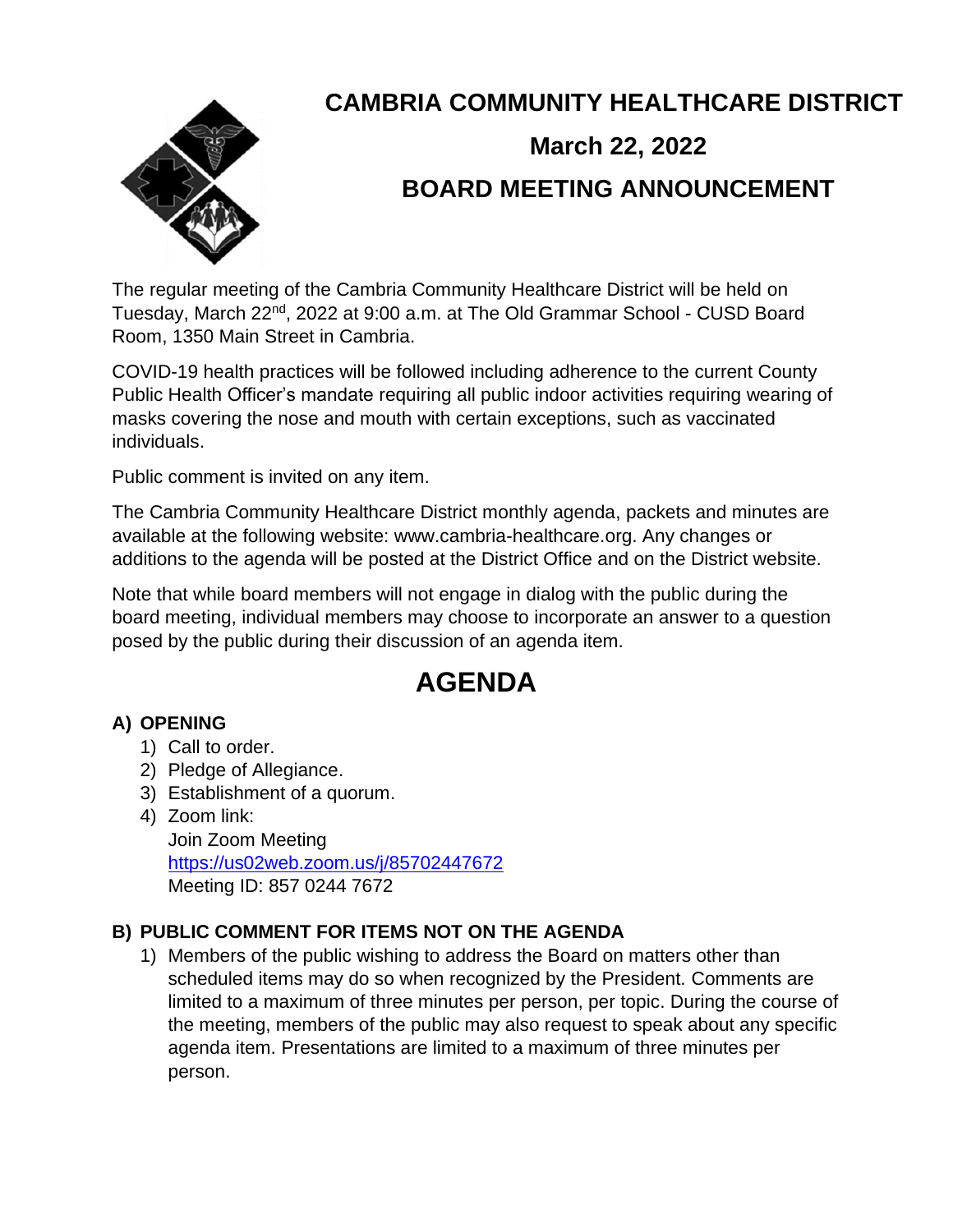

# **CAMBRIA COMMUNITY HEALTHCARE DISTRICT**

# **March 22, 2022 BOARD MEETING ANNOUNCEMENT**

The regular meeting of the Cambria Community Healthcare District will be held on Tuesday, March 22<sup>nd</sup>, 2022 at 9:00 a.m. at The Old Grammar School - CUSD Board Room, 1350 Main Street in Cambria.

COVID-19 health practices will be followed including adherence to the current County Public Health Officer's mandate requiring all public indoor activities requiring wearing of masks covering the nose and mouth with certain exceptions, such as vaccinated individuals.

Public comment is invited on any item.

The Cambria Community Healthcare District monthly agenda, packets and minutes are available at the following website: www.cambria-healthcare.org. Any changes or additions to the agenda will be posted at the District Office and on the District website.

Note that while board members will not engage in dialog with the public during the board meeting, individual members may choose to incorporate an answer to a question posed by the public during their discussion of an agenda item.

# **AGENDA**

# **A) OPENING**

- 1) Call to order.
- 2) Pledge of Allegiance.
- 3) Establishment of a quorum.
- 4) Zoom link:

Join Zoom Meeting <https://us02web.zoom.us/j/85702447672> Meeting ID: 857 0244 7672

# **B) PUBLIC COMMENT FOR ITEMS NOT ON THE AGENDA**

1) Members of the public wishing to address the Board on matters other than scheduled items may do so when recognized by the President. Comments are limited to a maximum of three minutes per person, per topic. During the course of the meeting, members of the public may also request to speak about any specific agenda item. Presentations are limited to a maximum of three minutes per person.